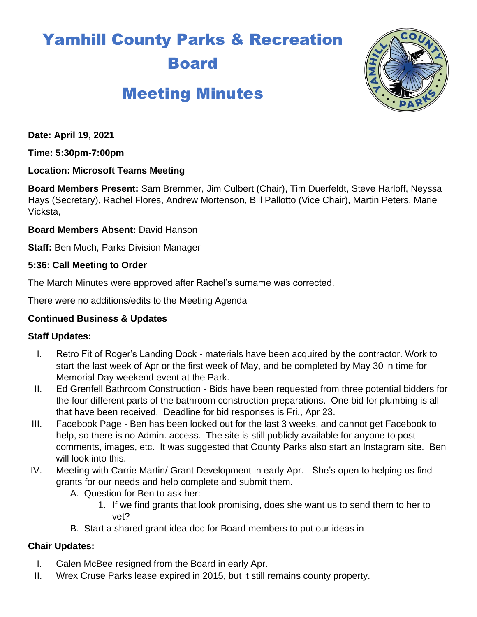# Yamhill County Parks & Recreation Board

# Meeting Minutes



**Date: April 19, 2021**

**Time: 5:30pm-7:00pm**

#### **Location: Microsoft Teams Meeting**

**Board Members Present:** Sam Bremmer, Jim Culbert (Chair), Tim Duerfeldt, Steve Harloff, Neyssa Hays (Secretary), Rachel Flores, Andrew Mortenson, Bill Pallotto (Vice Chair), Martin Peters, Marie Vicksta,

**Board Members Absent:** David Hanson

**Staff:** Ben Much, Parks Division Manager

#### **5:36: Call Meeting to Order**

The March Minutes were approved after Rachel's surname was corrected.

There were no additions/edits to the Meeting Agenda

# **Continued Business & Updates**

# **Staff Updates:**

- I. Retro Fit of Roger's Landing Dock materials have been acquired by the contractor. Work to start the last week of Apr or the first week of May, and be completed by May 30 in time for Memorial Day weekend event at the Park.
- II. Ed Grenfell Bathroom Construction Bids have been requested from three potential bidders for the four different parts of the bathroom construction preparations. One bid for plumbing is all that have been received. Deadline for bid responses is Fri., Apr 23.
- III. Facebook Page Ben has been locked out for the last 3 weeks, and cannot get Facebook to help, so there is no Admin. access. The site is still publicly available for anyone to post comments, images, etc. It was suggested that County Parks also start an Instagram site. Ben will look into this.
- IV. Meeting with Carrie Martin/ Grant Development in early Apr. She's open to helping us find grants for our needs and help complete and submit them.
	- A. Question for Ben to ask her:
		- 1. If we find grants that look promising, does she want us to send them to her to vet?
	- B. Start a shared grant idea doc for Board members to put our ideas in

# **Chair Updates:**

- I. Galen McBee resigned from the Board in early Apr.
- II. Wrex Cruse Parks lease expired in 2015, but it still remains county property.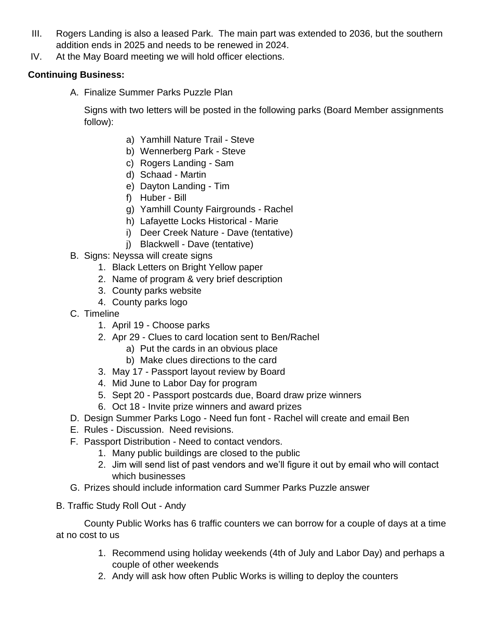- III. Rogers Landing is also a leased Park. The main part was extended to 2036, but the southern addition ends in 2025 and needs to be renewed in 2024.
- IV. At the May Board meeting we will hold officer elections.

#### **Continuing Business:**

A. Finalize Summer Parks Puzzle Plan

Signs with two letters will be posted in the following parks (Board Member assignments follow):

- a) Yamhill Nature Trail Steve
- b) Wennerberg Park Steve
- c) Rogers Landing Sam
- d) Schaad Martin
- e) Dayton Landing Tim
- f) Huber Bill
- g) Yamhill County Fairgrounds Rachel
- h) Lafayette Locks Historical Marie
- i) Deer Creek Nature Dave (tentative)
- j) Blackwell Dave (tentative)
- B. Signs: Neyssa will create signs
	- 1. Black Letters on Bright Yellow paper
	- 2. Name of program & very brief description
	- 3. County parks website
	- 4. County parks logo
- C. Timeline
	- 1. April 19 Choose parks
	- 2. Apr 29 Clues to card location sent to Ben/Rachel
		- a) Put the cards in an obvious place
		- b) Make clues directions to the card
	- 3. May 17 Passport layout review by Board
	- 4. Mid June to Labor Day for program
	- 5. Sept 20 Passport postcards due, Board draw prize winners
	- 6. Oct 18 Invite prize winners and award prizes
- D. Design Summer Parks Logo Need fun font Rachel will create and email Ben
- E. Rules Discussion. Need revisions.
- F. Passport Distribution Need to contact vendors.
	- 1. Many public buildings are closed to the public
	- 2. Jim will send list of past vendors and we'll figure it out by email who will contact which businesses
- G. Prizes should include information card Summer Parks Puzzle answer
- B. Traffic Study Roll Out Andy

County Public Works has 6 traffic counters we can borrow for a couple of days at a time at no cost to us

- 1. Recommend using holiday weekends (4th of July and Labor Day) and perhaps a couple of other weekends
- 2. Andy will ask how often Public Works is willing to deploy the counters